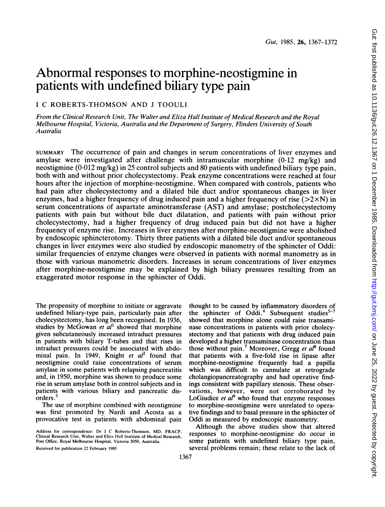# Abnormal responses to morphine-neostigmine in patients with undefined biliary type pain

# <sup>I</sup> C ROBERTS-THOMSON AND <sup>J</sup> TOOULI

From the Clinical Research Unit, The Walter and Eliza Hall Institute of Medical Research and the Royal Melbourne Hospital, Victoria, Australia and the Department of Surgery, Flinders University of South Australia

SUMMARY The occurrence of pain and changes in serum concentrations of liver enzymes and amylase were investigated after challenge with intramuscular morphine  $(0.12 \text{ mg/kg})$  and neostigmine (0-012 mg/kg) in 25 control subjects and 80 patients with undefined biliary type pain, both with and without prior cholecystectomy. Peak enzyme concentrations were reached at four hours after the injection of morphine-neostigmine. When compared with controls, patients who had pain after cholecystectomy and a dilated bile duct and/or spontaneous changes in liver enzymes, had a higher frequency of drug induced pain and a higher frequency of rise  $(>2\times N)$  in serum concentrations of aspartate aminotransferase (AST) and amylase; postcholecystectomy patients with pain but without bile duct dilatation, and patients with pain without prior cholecystectomy, had a higher frequency of drug induced pain but did not have a higher frequency of enzyme rise. Increases in liver enzymes after morphine-neostigmine were abolished by endoscopic sphincterotomy. Thirty three patients with a dilated bile duct and/or spontaneous changes in liver enzymes were also studied by endoscopic manometry of the sphincter of Oddi: similar frequencies of enzyme changes were observed in patients with normal manometry as in those with various manometric disorders. Increases in serum concentrations of liver enzymes after morphine-neostigmine may be explained by high biliary pressures resulting from an exaggerated motor response in the sphincter of Oddi.

The propensity of morphine to initiate or aggravate undefined biliary-type pain, particularly pain after cholecystectomy, has long been recognised. In 1936, studies by McGowan et  $al<sup>1</sup>$  showed that morphine given subcutaneously increased intraduct pressures in patients with biliary T-tubes and that rises in intraduct pressures could be associated with abdominal pain. In 1949, Knight et  $al^2$  found that neostigmine could raise concentrations of serum amylase in some patients with relapsing pancreatitis and, in 1950, morphine was shown to produce some rise in serum amylase both in control subjects and in patients with various biliary and pancreatic disorders.<sup>3</sup>

The use of morphine combined with neostigmine was first promoted by Nardi and Acosta as a provocative test in patients with abdominal pain

Address for correspondence: Dr <sup>I</sup> C Roberts-Thomson, MD, FRACP, Clinical Research Unit, Walter and Eliza Hall Institute of Medical Research, Post Office, Royal Melbourne Hospital, Victoria 3050, Australia.

Received for publication 22 February 1985

thought to be caused by inflammatory disorders of the sphincter of Oddi.<sup>4</sup> Subsequent studies $5-7$ showed that morphine alone could raise transaminase concentrations in patients with prior cholecystectomy and that patients with drug induced pain developed a higher transaminase concentration than those without pain.<sup>7</sup> Moreover, Gregg et  $al^8$  found that patients with a five-fold rise in lipase after morphine-neostigmine frequently had a papilla which was difficult to cannulate at retrograde cholangiopancreatography and had operative findings consistent with papillary stenosis. These observations, however, were not corroborated by LoGiudice et  $al^9$  who found that enzyme responses to morphine-neostigmine were unrelated to operative findings and to basal pressure in the sphincter of Oddi as measured by endoscopic manometry.

Although the above studies show that altered responses to morphine-neostigmine do occur in some patients with undefined biliary type pain, several problems remain; these relate to the lack of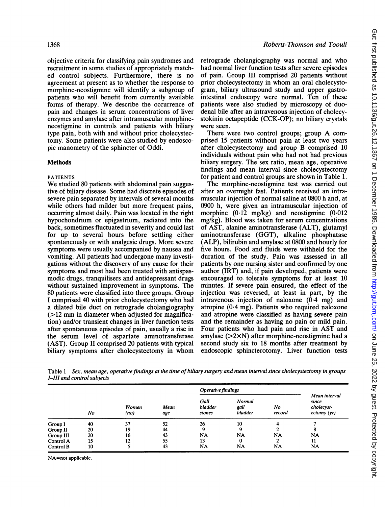objective criteria for classifying pain syndromes and recruitment in some studies of appropriately matched control subjects. Furthermore, there is no agreement at present as to whether the response to morphine-neostigmine will identify a subgroup of patients who will benefit from currently available forms of therapy. We describe the occurrence of pain and changes in serum concentrations of liver enzymes and amylase after intramuscular morphineneostigmine in controls and patients with biliary type pain, both with and without prior cholecystectomy. Some patients were also studied by endoscopic manometry of the sphincter of Oddi.

# Methods

## PATIENTS

We studied <sup>80</sup> patients with abdominal pain suggestive of biliary disease. Some had discrete episodes of severe pain separated by intervals of several months while others had milder but more frequent pains, occurring almost daily. Pain was located in the right hypochondrium or epigastrium, radiated into the back, sometimes fluctuated in severity and could last for up to several hours before settling either spontaneously or with analgesic drugs. More severe symptoms were usually accompanied by nausea and vomiting. All patients had undergone many investigations without the discovery of any cause for their symptoms and most had been treated with antispasmodic drugs, tranquilisers and antidepressant drugs without sustained improvement in symptoms. The 80 patients were classified into three groups. Group <sup>I</sup> comprised 40 with prior cholecystectomy who had a dilated bile duct on retrograde cholangiography  $(>12$  mm in diameter when adjusted for magnification) and/or transient changes in liver function tests after spontaneous episodes of pain, usually a rise in the serum level of aspartate aminotransferase (AST). Group II comprised 20 patients with typical biliary symptoms after cholecystectomy in whom retrograde cholangiography was normal and who had normal liver function tests after severe episodes of pain. Group III comprised 20 patients without prior cholecystectomy in whom an oral cholecystogram, biliary ultrasound study and upper gastrointestinal endoscopy were normal. Ten of these patients were also studied by microscopy of duodenal bile after an intravenous injection of cholecystokinin octapeptide (CCK-OP); no biliary crystals were seen.

There were two control groups; group A comprised 15 patients without pain at least two years after cholecystectomy and group B comprised 10 individuals without pain who had not had previous biliary surgery. The sex ratio, mean age, operative findings and mean interval since cholecystectomy for patient and control groups are shown in Table 1.

The morphine-neostigmine test was carried out after an overnight fast. Patients received an intramuscular injection of normal saline at 0800 h and, at 0900 h, were given an intramuscular injection of morphine (0.12 mg/kg) and neostigmine (0.012 mg/kg). Blood was taken for serum concentrations of AST, alanine aminotransferase (ALT), glutamyl aminotransferase (GGT), alkaline phosphatase (ALP), bilirubin and amylase at 0800 and hourly for five hours. Food and fluids were withheld for the duration of the study. Pain was assessed in all patients by one nursing sister and confirmed by one author (IRT) and, if pain developed, patients were encouraged to tolerate symptoms for at least 10 minutes. If severe pain ensured, the effect of the injection was reversed, at least in part, by the intravenous injection of naloxone  $(0.4 \text{ mg})$  and atropine (0.4 mg). Patients who required naloxone and atropine were classified as having severe pain and the remainder as having no pain or mild pain. Four patients who had pain and rise in AST and amylase (>2xN) after morphine-neostigmine had a second study six to 18 months after treatment by endoscopic sphincterotomy. Liver function tests

Table 1 Sex, mean age, operative findings at the time of biliary surgery and mean interval since cholecystectomy in groups I-III and control subjects

|           | No |               | Mean<br>age | Operative findings        |                           |              |                                                     |
|-----------|----|---------------|-------------|---------------------------|---------------------------|--------------|-----------------------------------------------------|
|           |    | Women<br>(no) |             | Gall<br>bladder<br>stones | Normal<br>gall<br>bladder | No<br>record | Mean interval<br>since<br>cholecyst-<br>ectomy (yr) |
| Group I   | 40 | 37            | 52          | 26                        | 10                        |              |                                                     |
| Group II  | 20 | 19            | 44          |                           | ۰                         |              | 8                                                   |
| Group III | 20 | 16            | 43          | <b>NA</b>                 | NA                        | <b>NA</b>    | <b>NA</b>                                           |
| Control A | 15 | 12            | 55          | 13                        | 0                         | າ            | 11                                                  |
| Control B | 10 |               | 43          | NA                        | <b>NA</b>                 | <b>NA</b>    | NA                                                  |

NA=not applicable.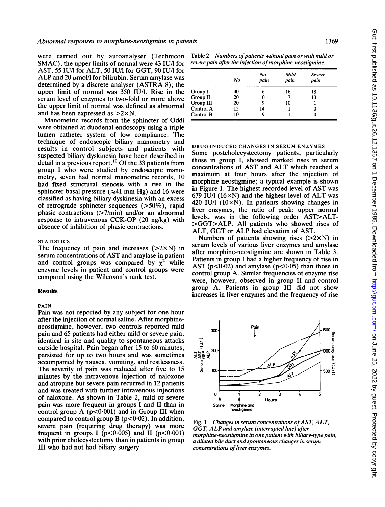were carried out by autoanalyser (Technicon SMAC); the upper limits of normal were 43 IU/l for AST, 55 IU/l for ALT, 50 IU/l for GGT, 90 IU/l for ALP and 20  $\mu$ mol/l for bilirubin. Serum amylase was determined by <sup>a</sup> discrete analyser (ASTRA 8); the upper limit of normal was 350 IU/1. Rise in the serum level of enzymes to two-fold or more above the upper limit of normal was defined as abnormal and has been expressed as  $>2\times N$ .

Manometric records from the sphincter of Oddi were obtained at duodenal endoscopy using a triple lumen catheter system of low compliance. The technique of endoscopic biliary manometry and results in control subjects and patients with suspected biliary dyskinesia have been described in detail in a previous report.<sup>10</sup> Of the 33 patients from group <sup>I</sup> who were studied by endoscopic manometry, seven had normal manometric records, 10 had fixed structural stenosis with a rise in the sphincter basal pressure ( $\ge 41$  mm Hg) and 16 were classified as having biliary dyskinesia with an excess of retrograde sphincter sequences (>50%), rapid phasic contractions (>7/min) and/or an abnormal response to intravenous CCK-OP (20 ng/kg) with absence of inhibition of phasic contractions.

#### **STATISTICS**

The frequency of pain and increases  $(2 \times N)$  in serum concentrations of AST and amylase in patient and control groups was compared by  $\chi^2$  while enzyme levels in patient and control groups were compared using the Wilcoxon's rank test.

#### Results

#### PAIN

Pain was not reported by any subject for one hour after the injection of normal saline. After morphineneostigmine, however, two controls reported mild pain and 65 patients had either mild or severe pain, identical in site and quality to spontaneous attacks outside hospital. Pain began after 15 to 60 minutes, persisted for up to two hours and was sometimes accompanied by nausea, vomiting, and restlessness. The severity of pain was reduced after five to 15 minutes by the intravenous injection of naloxone and atropine but severe pain recurred in 12 patients and was treated with further intravenous injections of naloxone. As shown in Table 2, mild or severe pain was more frequent in groups <sup>I</sup> and II than in control group A  $(p<0.001)$  and in Group III when compared to control group B ( $p<0.02$ ). In addition, severe pain (requiring drug therapy) was more frequent in groups I  $(p<0.005)$  and II  $(p<0.001)$ with prior cholecystectomy than in patients in group III who had not had biliary surgery.

Table 2 Numbers of patients without pain or with mild or severe pain after the injection of morphine-neostigmine.

|           | No | No<br>pain | Mild<br>pain | Severe<br>pain |
|-----------|----|------------|--------------|----------------|
| Group I   | 40 |            | 16           | 18             |
| Group II  | 20 |            |              | 13             |
| Group III | 20 |            | 10           |                |
| Control A | 15 | 14         |              | 0              |
| Control B | 10 |            |              |                |

#### DRUG INDUCED CHANGES IN SERUM ENZYMES

Some postcholecystectomy patients, particularly those in group I, showed marked rises in serum concentrations of AST and ALT which reached <sup>a</sup> maximum at four hours after the injection of morphine-neostigmine; a typical example is shown in Figure 1. The highest recorded level of AST was 679 IU/l  $(16\times N)$  and the highest level of ALT was 420 IU/l  $(10\times N)$ . In patients showing changes in liver enzymes, the ratio of peak: upper normal levels, was in the following order AST>ALT- >GGT>ALP. All patients who showed rises of ALT, GGT or ALP had elevation of AST.

Numbers of patients showing rises  $(>=2\times N)$  in serum levels of various liver enzymes and amylase after morphine-neostigmine are shown in Table 3. Patients in group <sup>I</sup> had a higher frequency of rise in AST ( $p < 0.02$ ) and amylase ( $p < 0.05$ ) than those in control group A. Similar frequencies of enzyme rise were, however, observed in group II and control group A. Patients in group III did not show increases in liver enzymes and the frequency of rise

300  $5\,$ ភូមិ  $\rm \sim$ 3 <sup>10</sup> 0 <sup>i</sup> Saline Morphine and neostigmine Pain/  $\bullet$  $\frac{1}{\sqrt{10}}$ :7--  $\frac{1}{2}$   $\frac{1}{2}$   $\frac{1}{2}$   $\frac{1}{2}$   $\frac{1}{2}$   $\frac{1}{2}$   $\frac{1}{2}$   $\frac{1}{2}$   $\frac{1}{2}$   $\frac{1}{2}$   $\frac{1}{2}$   $\frac{1}{2}$   $\frac{1}{2}$   $\frac{1}{2}$   $\frac{1}{2}$   $\frac{1}{2}$   $\frac{1}{2}$   $\frac{1}{2}$   $\frac{1}{2}$   $\frac{1}{2}$   $\frac{1}{2}$   $\frac{1}{2}$  2 3 4£ Hours .1500 ys<br>Enla o .1000.<3 o 5s<sup>0</sup>  $500 \leq$ 

E

Fig. 1 Changes in serum concentrations of  $AST, ALT$ , GGT, ALPand amylase (interrupted line) after morphine-neostigmine in one patient with biliary-type pain, a dilated bile duct and spontaneous changes in serum concentrations of liver enzymes.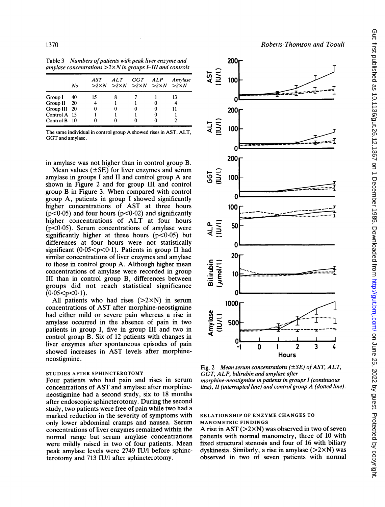Table 3 Numbers of patients with peak liver enzyme and amylase concentrations  $>>\times N$  in groups I-III and controls

|              | No   | AST | ALT | GGT<br>$>>2\times N$ $>>2\times N$ $>>2\times N$ $>>2\times N$ | ALP | Amylase |  |
|--------------|------|-----|-----|----------------------------------------------------------------|-----|---------|--|
| Group I      | 40   | 15  |     |                                                                |     | 13      |  |
| Group II     | - 20 |     |     |                                                                |     |         |  |
| Group III 20 |      |     |     | 0                                                              |     |         |  |
| Control A 15 |      |     |     |                                                                |     |         |  |
| Control B 10 |      |     |     |                                                                |     |         |  |

The same individual in control group A showed rises in AST, ALT, GGT and amylase.

in amylase was not higher than in control group B.

Mean values  $(\pm SE)$  for liver enzymes and serum amylase in groups <sup>I</sup> and II and control group A are shown in Figure 2 and for group III and control group B in Figure 3. When compared with control group A, patients in group <sup>I</sup> showed significantly higher concentrations of AST at three hours  $(p<0.05)$  and four hours  $(p<0.02)$  and significantly higher concentrations of ALT at four hours  $(p<0.05)$ . Serum concentrations of amylase were significantly higher at three hours  $(p<0.05)$  but differences at four hours were not statistically significant  $(0.05 < p < 0.1)$ . Patients in group II had similar concentrations of liver enzymes and amylase to those in control group A. Although higher mean concentrations of amylase were recorded in group III than in control group B, differences between groups did not reach statistical significance  $(0.05 < p < 0.1)$ .

All patients who had rises  $(>2\times N)$  in serum concentrations of AST after morphine-neostigmine had either mild or severe pain whereas a rise in amylase occurred in the absence of pain in two patients in group I, five in group III and two in control group B. Six of 12 patients with changes in liver enzymes after spontaneous episodes of pain showed increases in AST levels after morphineneostigmine.

## STUDIES AFTER SPHINCTEROTOMY

Four patients who had pain and rises in serum concentrations of AST and amylase after morphineneostigmine had a second study, six to 18 months after endoscopic sphincterotomy. During the second study, two patients were free of pain while two had a marked reduction in the severity of symptoms with only lower abdominal cramps and nausea. Serum concentrations of liver enzymes remained within the normal range but serum amylase concentrations were mildly raised in two of four patients. Mean peak amylase levels were 2749 IU/l before sphincterotomy and 713 IU/l after sphincterotomy.



Fig. 2 Mean serum concentrations  $(\pm SE)$  of AST, ALT, GGT, ALP, bilirubin and amylase after morphine-neostigmine in patients in groups I (continuous line), II (interrupted line) and control group A (dotted line).

# RELATIONSHIP OF ENZYME CHANGES TO MANOMETRIC FINDINGS

A rise in AST ( $>2\times N$ ) was observed in two of seven patients with normal manometry, three of 10 with fixed structural stenosis and four of 16 with biliary dyskinesia. Similarly, a rise in amylase  $(22\times N)$  was observed in two of seven patients with normal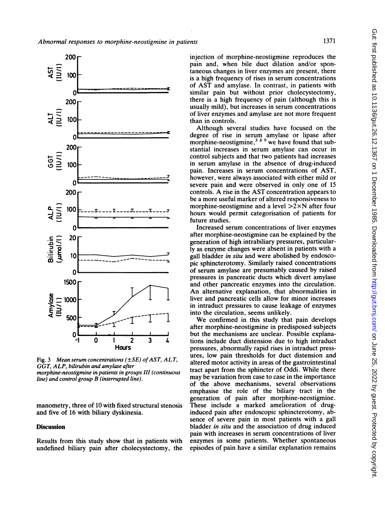

Fig. 3 Mean serum concentrations ( $\pm SE$ ) of AST, ALT, GGT, ALP, bilirubin and amylase after morphine-neostigmine in patients in groups III (continuous line) and control group B (interrupted line).

manometry, three of 10 with fixed structural stenosis and five of 16 with biliary dyskinesia.

# **Discussion**

Results from this study show that in patients with undefined biliary pain after cholecystectomy, the injection of morphine-neostigmine reproduces the pain and, when bile duct dilation and/or spontaneous changes in liver enzymes are present, there is a high frequency of rises in serum concentrations of AST and amylase. In contrast, in patients with similar pain but without prior cholecystectomy, there is a high frequency of pain (although this is usually mild), but increases in serum concentrations of liver enzymes and amylase are not more frequent than in controls.

Although several studies have focused on the degree of rise in serum amylase or lipase after morphine-neostigmine,  $389$  we have found that substantial increases in serum amylase can occur in control subjects and that two patients had increases in serum amylase in the absence of drug-induced pain. Increases in serum concentrations of AST, however, were always associated with either mild or severe pain and were observed in only one of 15 controls. A rise in the AST concentration appears to be a more useful marker of altered responsiveness to morphine-neostigmine and a level  $>2\times N$  after four hours would permit categorisation of patients for future studies.

Increased serum concentrations of liver enzymes after morphine-neostigmine can be explained by the generation of high intrabiliary pressures, particularly as enzyme changes were absent in patients with a gall bladder in situ and were abolished by endoscopic sphincterotomy. Similarly raised concentrations of serum amylase are presumably caused by raised pressures in pancreatic ducts which divert amylase and other pancreatic enzymes into the circulation. An alternative explanation, that abnormalities in liver and pancreatic cells allow for minor increases in intraduct pressures to cause leakage of enzymes into the circulation, seems unlikely.

We confirmed in this study that pain develops after morphine-neostigmine in predisposed subjects but the mechanisms are unclear. Possible explanations include duct distension due to high intraduct pressures, abnormally rapid rises in intraduct pressures, low pain thresholds for duct distension and altered motor activity in areas of the gastrointestinal tract apart from the sphincter of Oddi. While there may be variation from case to case in the importance of the above mechanisms, several observations emphasise the role of the biliary tract in the generation of pain after morphine-neostigmine. These include a marked amelioration of druginduced pain after endoscopic sphincterotomy, absence of severe pain in most patients with a gall bladder in situ and the association of drug induced pain with increases in serum concentrations of liver enzymes in some patients. Whether spontaneous episodes of pain have a similar explanation remains